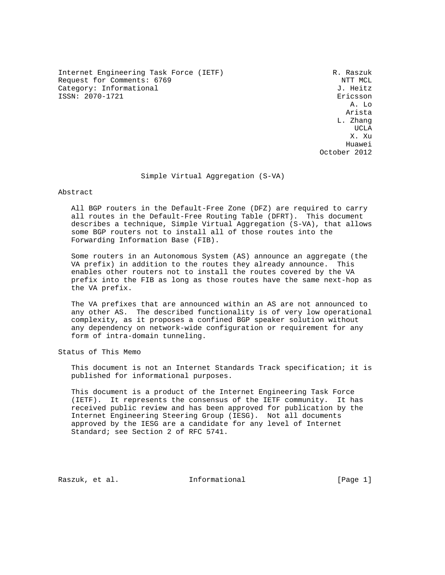Internet Engineering Task Force (IETF) R. Raszuk Request for Comments: 6769 NTT MCL 2012 11: 10:20 NTT MCL 2012 11:30 NTT MCL 2012 11:30 NTT MCL 2012 11:30 NTT<br>Category: Informational Category: Informational ISSN: 2070-1721 Ericsson

 A. Lo e de la construcción de la construcción de la construcción de la construcción de la construcción de la constru L. Zhang UCLA AND LOCAL CONTRACT OF THE SECOND SECOND SECOND SECOND SECOND SECOND SECOND SECOND SECOND SECOND SECOND SECOND SECOND SECOND SECOND SECOND SECOND SECOND SECOND SECOND SECOND SECOND SECOND SECOND SECOND SECOND SECOND SE X. Xu Huawei October 2012

Simple Virtual Aggregation (S-VA)

Abstract

 All BGP routers in the Default-Free Zone (DFZ) are required to carry all routes in the Default-Free Routing Table (DFRT). This document describes a technique, Simple Virtual Aggregation (S-VA), that allows some BGP routers not to install all of those routes into the Forwarding Information Base (FIB).

 Some routers in an Autonomous System (AS) announce an aggregate (the VA prefix) in addition to the routes they already announce. This enables other routers not to install the routes covered by the VA prefix into the FIB as long as those routes have the same next-hop as the VA prefix.

 The VA prefixes that are announced within an AS are not announced to any other AS. The described functionality is of very low operational complexity, as it proposes a confined BGP speaker solution without any dependency on network-wide configuration or requirement for any form of intra-domain tunneling.

Status of This Memo

 This document is not an Internet Standards Track specification; it is published for informational purposes.

 This document is a product of the Internet Engineering Task Force (IETF). It represents the consensus of the IETF community. It has received public review and has been approved for publication by the Internet Engineering Steering Group (IESG). Not all documents approved by the IESG are a candidate for any level of Internet Standard; see Section 2 of RFC 5741.

Raszuk, et al. 10. Informational [Page 1]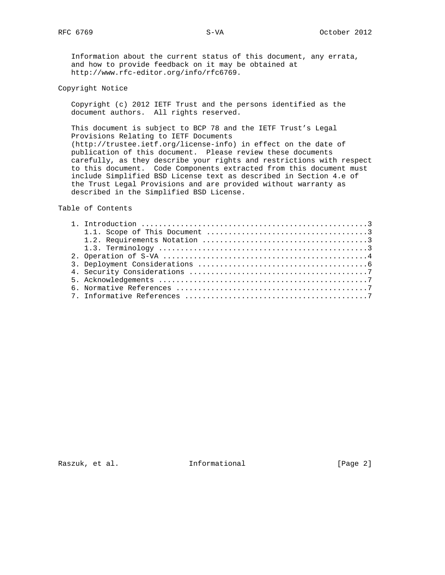Information about the current status of this document, any errata, and how to provide feedback on it may be obtained at http://www.rfc-editor.org/info/rfc6769.

## Copyright Notice

 Copyright (c) 2012 IETF Trust and the persons identified as the document authors. All rights reserved.

 This document is subject to BCP 78 and the IETF Trust's Legal Provisions Relating to IETF Documents (http://trustee.ietf.org/license-info) in effect on the date of publication of this document. Please review these documents carefully, as they describe your rights and restrictions with respect to this document. Code Components extracted from this document must include Simplified BSD License text as described in Section 4.e of the Trust Legal Provisions and are provided without warranty as described in the Simplified BSD License.

Table of Contents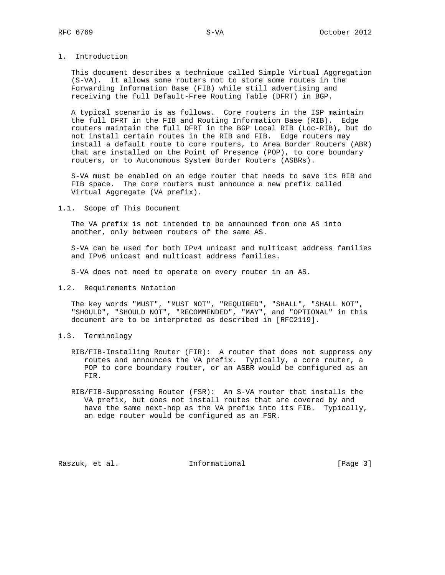## 1. Introduction

 This document describes a technique called Simple Virtual Aggregation (S-VA). It allows some routers not to store some routes in the Forwarding Information Base (FIB) while still advertising and receiving the full Default-Free Routing Table (DFRT) in BGP.

 A typical scenario is as follows. Core routers in the ISP maintain the full DFRT in the FIB and Routing Information Base (RIB). Edge routers maintain the full DFRT in the BGP Local RIB (Loc-RIB), but do not install certain routes in the RIB and FIB. Edge routers may install a default route to core routers, to Area Border Routers (ABR) that are installed on the Point of Presence (POP), to core boundary routers, or to Autonomous System Border Routers (ASBRs).

 S-VA must be enabled on an edge router that needs to save its RIB and FIB space. The core routers must announce a new prefix called Virtual Aggregate (VA prefix).

1.1. Scope of This Document

 The VA prefix is not intended to be announced from one AS into another, only between routers of the same AS.

 S-VA can be used for both IPv4 unicast and multicast address families and IPv6 unicast and multicast address families.

S-VA does not need to operate on every router in an AS.

1.2. Requirements Notation

 The key words "MUST", "MUST NOT", "REQUIRED", "SHALL", "SHALL NOT", "SHOULD", "SHOULD NOT", "RECOMMENDED", "MAY", and "OPTIONAL" in this document are to be interpreted as described in [RFC2119].

- 1.3. Terminology
	- RIB/FIB-Installing Router (FIR): A router that does not suppress any routes and announces the VA prefix. Typically, a core router, a POP to core boundary router, or an ASBR would be configured as an FIR.
	- RIB/FIB-Suppressing Router (FSR): An S-VA router that installs the VA prefix, but does not install routes that are covered by and have the same next-hop as the VA prefix into its FIB. Typically, an edge router would be configured as an FSR.

Raszuk, et al. 1nformational [Page 3]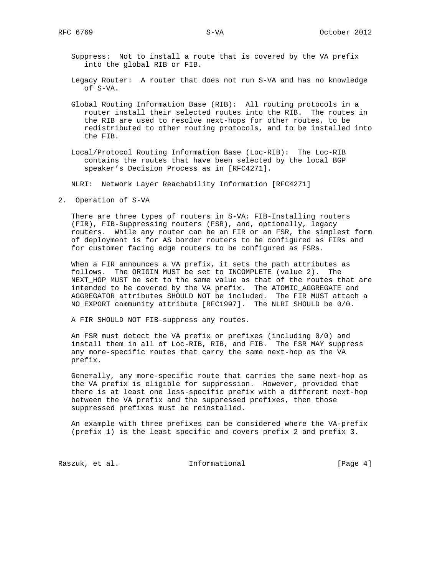- Suppress: Not to install a route that is covered by the VA prefix into the global RIB or FIB.
- Legacy Router: A router that does not run S-VA and has no knowledge of S-VA.
- Global Routing Information Base (RIB): All routing protocols in a router install their selected routes into the RIB. The routes in the RIB are used to resolve next-hops for other routes, to be redistributed to other routing protocols, and to be installed into the FIB.
- Local/Protocol Routing Information Base (Loc-RIB): The Loc-RIB contains the routes that have been selected by the local BGP speaker's Decision Process as in [RFC4271].

NLRI: Network Layer Reachability Information [RFC4271]

2. Operation of S-VA

 There are three types of routers in S-VA: FIB-Installing routers (FIR), FIB-Suppressing routers (FSR), and, optionally, legacy routers. While any router can be an FIR or an FSR, the simplest form of deployment is for AS border routers to be configured as FIRs and for customer facing edge routers to be configured as FSRs.

 When a FIR announces a VA prefix, it sets the path attributes as follows. The ORIGIN MUST be set to INCOMPLETE (value 2). The NEXT\_HOP MUST be set to the same value as that of the routes that are intended to be covered by the VA prefix. The ATOMIC\_AGGREGATE and AGGREGATOR attributes SHOULD NOT be included. The FIR MUST attach a NO\_EXPORT community attribute [RFC1997]. The NLRI SHOULD be 0/0.

A FIR SHOULD NOT FIB-suppress any routes.

 An FSR must detect the VA prefix or prefixes (including 0/0) and install them in all of Loc-RIB, RIB, and FIB. The FSR MAY suppress any more-specific routes that carry the same next-hop as the VA prefix.

 Generally, any more-specific route that carries the same next-hop as the VA prefix is eligible for suppression. However, provided that there is at least one less-specific prefix with a different next-hop between the VA prefix and the suppressed prefixes, then those suppressed prefixes must be reinstalled.

 An example with three prefixes can be considered where the VA-prefix (prefix 1) is the least specific and covers prefix 2 and prefix 3.

Raszuk, et al. 1nformational [Page 4]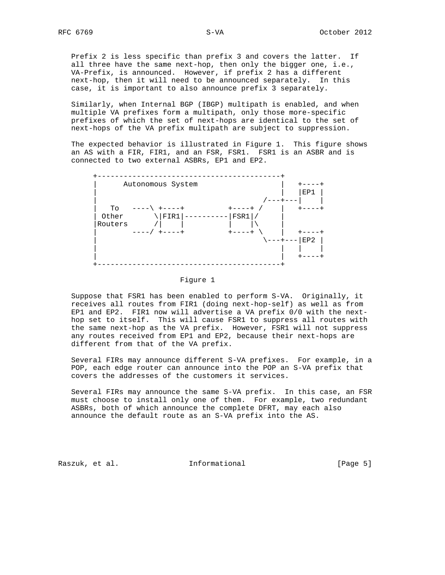Prefix 2 is less specific than prefix 3 and covers the latter. If all three have the same next-hop, then only the bigger one, i.e., VA-Prefix, is announced. However, if prefix 2 has a different next-hop, then it will need to be announced separately. In this case, it is important to also announce prefix 3 separately.

 Similarly, when Internal BGP (IBGP) multipath is enabled, and when multiple VA prefixes form a multipath, only those more-specific prefixes of which the set of next-hops are identical to the set of next-hops of the VA prefix multipath are subject to suppression.

 The expected behavior is illustrated in Figure 1. This figure shows an AS with a FIR, FIR1, and an FSR, FSR1. FSR1 is an ASBR and is connected to two external ASBRs, EP1 and EP2.



Figure 1

 Suppose that FSR1 has been enabled to perform S-VA. Originally, it receives all routes from FIR1 (doing next-hop-self) as well as from EP1 and EP2. FIR1 now will advertise a VA prefix 0/0 with the next hop set to itself. This will cause FSR1 to suppress all routes with the same next-hop as the VA prefix. However, FSR1 will not suppress any routes received from EP1 and EP2, because their next-hops are different from that of the VA prefix.

 Several FIRs may announce different S-VA prefixes. For example, in a POP, each edge router can announce into the POP an S-VA prefix that covers the addresses of the customers it services.

 Several FIRs may announce the same S-VA prefix. In this case, an FSR must choose to install only one of them. For example, two redundant ASBRs, both of which announce the complete DFRT, may each also announce the default route as an S-VA prefix into the AS.

Raszuk, et al. 1nformational 1999 [Page 5]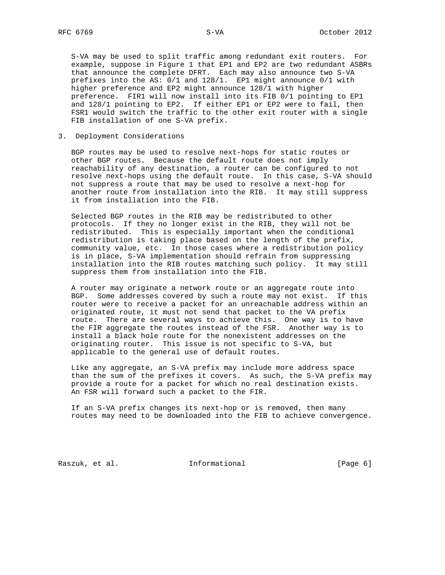S-VA may be used to split traffic among redundant exit routers. For example, suppose in Figure 1 that EP1 and EP2 are two redundant ASBRs that announce the complete DFRT. Each may also announce two S-VA prefixes into the AS: 0/1 and 128/1. EP1 might announce 0/1 with higher preference and EP2 might announce 128/1 with higher preference. FIR1 will now install into its FIB 0/1 pointing to EP1 and 128/1 pointing to EP2. If either EP1 or EP2 were to fail, then FSR1 would switch the traffic to the other exit router with a single FIB installation of one S-VA prefix.

3. Deployment Considerations

 BGP routes may be used to resolve next-hops for static routes or other BGP routes. Because the default route does not imply reachability of any destination, a router can be configured to not resolve next-hops using the default route. In this case, S-VA should not suppress a route that may be used to resolve a next-hop for another route from installation into the RIB. It may still suppress it from installation into the FIB.

 Selected BGP routes in the RIB may be redistributed to other protocols. If they no longer exist in the RIB, they will not be redistributed. This is especially important when the conditional redistribution is taking place based on the length of the prefix, community value, etc. In those cases where a redistribution policy is in place, S-VA implementation should refrain from suppressing installation into the RIB routes matching such policy. It may still suppress them from installation into the FIB.

 A router may originate a network route or an aggregate route into BGP. Some addresses covered by such a route may not exist. If this router were to receive a packet for an unreachable address within an originated route, it must not send that packet to the VA prefix route. There are several ways to achieve this. One way is to have the FIR aggregate the routes instead of the FSR. Another way is to install a black hole route for the nonexistent addresses on the originating router. This issue is not specific to S-VA, but applicable to the general use of default routes.

 Like any aggregate, an S-VA prefix may include more address space than the sum of the prefixes it covers. As such, the S-VA prefix may provide a route for a packet for which no real destination exists. An FSR will forward such a packet to the FIR.

 If an S-VA prefix changes its next-hop or is removed, then many routes may need to be downloaded into the FIB to achieve convergence.

Raszuk, et al. 1nformational 1999 [Page 6]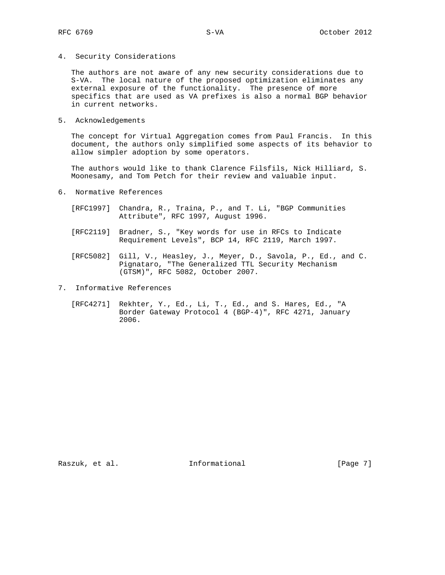4. Security Considerations

 The authors are not aware of any new security considerations due to S-VA. The local nature of the proposed optimization eliminates any external exposure of the functionality. The presence of more specifics that are used as VA prefixes is also a normal BGP behavior in current networks.

5. Acknowledgements

 The concept for Virtual Aggregation comes from Paul Francis. In this document, the authors only simplified some aspects of its behavior to allow simpler adoption by some operators.

 The authors would like to thank Clarence Filsfils, Nick Hilliard, S. Moonesamy, and Tom Petch for their review and valuable input.

- 6. Normative References
	- [RFC1997] Chandra, R., Traina, P., and T. Li, "BGP Communities Attribute", RFC 1997, August 1996.
	- [RFC2119] Bradner, S., "Key words for use in RFCs to Indicate Requirement Levels", BCP 14, RFC 2119, March 1997.
	- [RFC5082] Gill, V., Heasley, J., Meyer, D., Savola, P., Ed., and C. Pignataro, "The Generalized TTL Security Mechanism (GTSM)", RFC 5082, October 2007.
- 7. Informative References
	- [RFC4271] Rekhter, Y., Ed., Li, T., Ed., and S. Hares, Ed., "A Border Gateway Protocol 4 (BGP-4)", RFC 4271, January 2006.

Raszuk, et al. 10 Informational 1999 [Page 7]